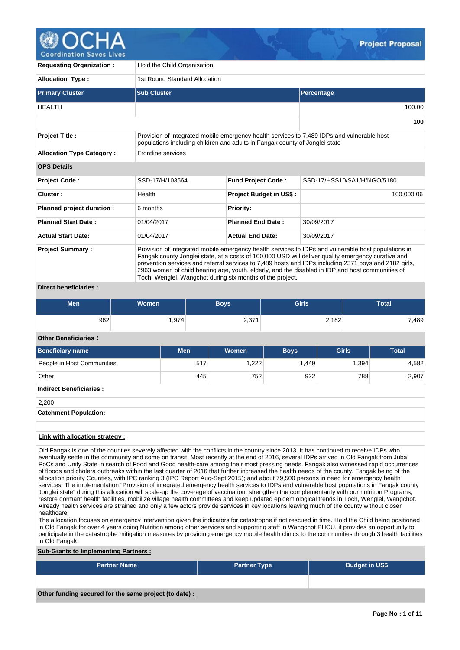

| <b>Requesting Organization:</b>                  | Hold the Child Organisation   |                                                                             |                                                                                                                                                                                                                                                                                                                                                                                                                        |  |  |  |
|--------------------------------------------------|-------------------------------|-----------------------------------------------------------------------------|------------------------------------------------------------------------------------------------------------------------------------------------------------------------------------------------------------------------------------------------------------------------------------------------------------------------------------------------------------------------------------------------------------------------|--|--|--|
| <b>Allocation Type:</b>                          | 1st Round Standard Allocation |                                                                             |                                                                                                                                                                                                                                                                                                                                                                                                                        |  |  |  |
| <b>Primary Cluster</b>                           | <b>Sub Cluster</b>            |                                                                             | Percentage                                                                                                                                                                                                                                                                                                                                                                                                             |  |  |  |
| <b>HEALTH</b>                                    |                               |                                                                             | 100.00                                                                                                                                                                                                                                                                                                                                                                                                                 |  |  |  |
|                                                  |                               |                                                                             | 100                                                                                                                                                                                                                                                                                                                                                                                                                    |  |  |  |
| <b>Project Title:</b>                            |                               | populations including children and adults in Fangak county of Jonglei state | Provision of integrated mobile emergency health services to 7,489 IDPs and vulnerable host                                                                                                                                                                                                                                                                                                                             |  |  |  |
| <b>Allocation Type Category:</b>                 | <b>Frontline services</b>     |                                                                             |                                                                                                                                                                                                                                                                                                                                                                                                                        |  |  |  |
| <b>OPS Details</b>                               |                               |                                                                             |                                                                                                                                                                                                                                                                                                                                                                                                                        |  |  |  |
| <b>Project Code:</b>                             | SSD-17/H/103564               | <b>Fund Project Code:</b>                                                   | SSD-17/HSS10/SA1/H/NGO/5180                                                                                                                                                                                                                                                                                                                                                                                            |  |  |  |
| Cluster:                                         | Health                        | Project Budget in US\$ :                                                    | 100,000.06                                                                                                                                                                                                                                                                                                                                                                                                             |  |  |  |
| Planned project duration :                       | 6 months                      | <b>Priority:</b>                                                            |                                                                                                                                                                                                                                                                                                                                                                                                                        |  |  |  |
| <b>Planned Start Date:</b>                       | 01/04/2017                    | <b>Planned End Date:</b>                                                    | 30/09/2017                                                                                                                                                                                                                                                                                                                                                                                                             |  |  |  |
| <b>Actual Start Date:</b>                        | 01/04/2017                    | <b>Actual End Date:</b>                                                     | 30/09/2017                                                                                                                                                                                                                                                                                                                                                                                                             |  |  |  |
| <b>Project Summary:</b><br>Diract honoficiarion. |                               | Toch, Wenglel, Wangchot during six months of the project.                   | Provision of integrated mobile emergency health services to IDPs and vulnerable host populations in<br>Fangak county Jonglei state, at a costs of 100,000 USD will deliver quality emergency curative and<br>prevention services and referral services to 7,489 hosts and IDPs including 2371 boys and 2182 girls,<br>2963 women of child bearing age, youth, elderly, and the disabled in IDP and host communities of |  |  |  |

#### **Direct beneficiaries :**

| <b>Women</b><br>Men |       | Boys'       | <b>Girls</b> | <b>Total</b> |  |  |
|---------------------|-------|-------------|--------------|--------------|--|--|
| 962                 | 1,974 | 271<br>ا ان | 2,182        | 7,489        |  |  |

## **Other Beneficiaries :**

| <b>Beneficiary name</b>        | <b>Men</b> | Women | <b>Boys</b> | <b>Girls</b> | <b>Total</b> |  |  |
|--------------------------------|------------|-------|-------------|--------------|--------------|--|--|
| People in Host Communities     | 517        | 1,222 | 1,449       | 1,394        | 4,582        |  |  |
| Other                          | 445        | 752   | 922         | 788          | 2,907        |  |  |
| <b>Indirect Beneficiaries:</b> |            |       |             |              |              |  |  |
| 2,200                          |            |       |             |              |              |  |  |
| <b>Catchment Population:</b>   |            |       |             |              |              |  |  |
|                                |            |       |             |              |              |  |  |

### **Link with allocation strategy :**

Old Fangak is one of the counties severely affected with the conflicts in the country since 2013. It has continued to receive IDPs who eventually settle in the community and some on transit. Most recently at the end of 2016, several IDPs arrived in Old Fangak from Juba PoCs and Unity State in search of Food and Good health-care among their most pressing needs. Fangak also witnessed rapid occurrences of floods and cholera outbreaks within the last quarter of 2016 that further increased the health needs of the county. Fangak being of the allocation priority Counties, with IPC ranking 3 (IPC Report Aug-Sept 2015); and about 79,500 persons in need for emergency health services. The implementation "Provision of integrated emergency health services to IDPs and vulnerable host populations in Fangak county Jonglei state" during this allocation will scale-up the coverage of vaccination, strengthen the complementarity with our nutrition Programs, restore dormant health facilities, mobilize village health committees and keep updated epidemiological trends in Toch, Wenglel, Wangchot. Already health services are strained and only a few actors provide services in key locations leaving much of the county without closer healthcare.

The allocation focuses on emergency intervention given the indicators for catastrophe if not rescued in time. Hold the Child being positioned in Old Fangak for over 4 years doing Nutrition among other services and supporting staff in Wangchot PHCU, it provides an opportunity to participate in the catastrophe mitigation measures by providing emergency mobile health clinics to the communities through 3 health facilities in Old Fangak.

## **Sub-Grants to Implementing Partners :**

| <b>Partner Name</b>                                   | <b>Partner Type</b> | <b>Budget in US\$</b> |
|-------------------------------------------------------|---------------------|-----------------------|
|                                                       |                     |                       |
| Other funding secured for the same project (to date): |                     |                       |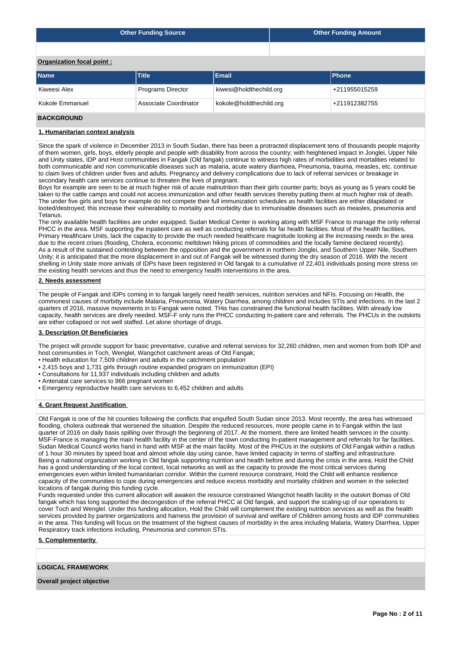| <b>Other Funding Source</b> | <b>Other Funding Amount</b> |
|-----------------------------|-----------------------------|
|                             |                             |

# **Organization focal point :**

| <b>UI GUILLANDII IUCAI PUIIII</b> . |                          |                         |                            |  |  |  |  |  |
|-------------------------------------|--------------------------|-------------------------|----------------------------|--|--|--|--|--|
| <b>Name</b>                         | <b>Title</b>             | Email                   | <b>IPhone</b>              |  |  |  |  |  |
| Kiweesi Alex                        | <b>Programs Director</b> | kiwesi@holdthechild.org | <sup>1</sup> +211955015259 |  |  |  |  |  |
| Kokole Emmanuel                     | Associate Coordinator    | kokole@holdthechild.org | +211912382755              |  |  |  |  |  |
|                                     |                          |                         |                            |  |  |  |  |  |

## **BACKGROUND**

### **1. Humanitarian context analysis**

Since the spark of violence in December 2013 in South Sudan, there has been a protracted displacement tens of thousands people majority of them women, girls, boys, elderly people and people with disability from across the country; with heightened impact in Jonglei, Upper Nile and Unity states. IDP and Host communities in Fangak (Old fangak) continue to witness high rates of morbidities and mortalities related to both communicable and non communicable diseases such as malaria, acute watery diarrhoea, Pneumonia, trauma, measles, etc. continue to claim lives of children under fives and adults. Pregnancy and delivery complications due to lack of referral services or breakage in secondary health care services continue to threaten the lives of pregnant.

Boys for example are seen to be at much higher risk of acute malnutrition than their girls counter parts; boys as young as 5 years could be taken to the cattle camps and could not access immunization and other health services thereby putting them at much higher risk of death. The under five girls and boys for example do not compete their full immunization schedules as health facilities are either dilapidated or looted/destroyed; this increase their vulnerability to mortality and morbidity due to immunisable diseases such as measles, pneumonia and Tetanus.

The only available health facilities are under equipped. Sudan Medical Center is working along with MSF France to manage the only referral PHCC in the area. MSF supporting the inpatient care as well as conducting referrals for far health facilities. Most of the health facilities, Primary Healthcare Units, lack the capacity to provide the much needed healthcare magnitude looking at the increasing needs in the area due to the recent crises (flooding, Cholera, economic meltdown hiking prices of commodities and the locally famine declared recently). As a result of the sustained contesting between the opposition and the government in northern Jonglei, and Southern Upper Nile, Southern Unity; it is anticipated that the more displacement in and out of Fangak will be witnessed during the dry season of 2016. With the recent shelling in Unity state more arrivals of IDPs have been registered in Old fangak to a cumulative of 22,401 individuals posing more stress on the existing health services and thus the need to emergency health interventions in the area.

#### **2. Needs assessment**

The people of Fangak and IDPs coming in to fangak largely need health services, nutrition services and NFIs. Focusing on Health, the commonest causes of morbitty include Malaria, Pneumonia, Watery Diarrhea, among children and includes STIs and infections. In the last 2 quarters of 2016, massive movements in to Fangak were noted. THis has constrained the functional health facilities. With already low capacity, health services are direly needed. MSF-F only runs the PHCC conducting In-patient care and referrals. The PHCUs in the outskirts are either collapsed or not well staffed. Let alone shortage of drugs.

### **3. Description Of Beneficiaries**

The project will provide support for basic preventative, curative and referral services for 32,260 children, men and women from both IDP and host communities in Toch, Wenglel, Wangchot catchment areas of Old Fangak;

- Health education for 7,509 children and adults in the catchment population
- 2,415 boys and 1,731 girls through routine expanded program on immunization (EPI)
- Consultations for 11,937 individuals including children and adults
- Antenatal care services to 966 pregnant women
- Emergency reproductive health care services to 6,452 children and adults

## **4. Grant Request Justification**

Old Fangak is one of the hit counties following the conflicts that engulfed South Sudan since 2013. Most recently, the area has witnessed flooding, cholera outbreak that worsened the situation. Despite the reduced resources, more people came in to Fangak within the last quarter of 2016 on daily basis spilling over through the beginning of 2017. At the moment, there are limited health services in the county. MSF-France is managing the main health facility in the center of the town conducting In-patient management and referrals for far facilities. Sudan Medical Council works hand in hand with MSF at the main facility. Most of the PHCUs in the outskirts of Old Fangak within a radius of 1 hour 30 minutes by speed boat and almost whole day using canoe, have limited capacity in terms of staffing and infrastructure. Being a national organization working in Old fangak supporting nutrition and health before and during the crisis in the area; Hold the Child has a good understanding of the local context, local networks as well as the capacity to provide the most critical services during emergencies even within limited humanitarian corridor. Within the current resource constraint, Hold the Child will enhance resilience capacity of the communities to cope during emergencies and reduce excess morbidity and mortality children and women in the selected locations of fangak during this funding cycle.

Funds requested under this current allocation will awaken the resource constrained Wangchot health facility in the outskirt Bomas of Old fangak which has long supported the decongestion of the referral PHCC at Old fangak, and support the scaling-up of our operations to cover Toch and Wenglel. Under this funding allocation, Hold the Child will complement the existing nutrition services as well as the health services provided by partner organizations and harness the provision of survival and welfare of Children among hosts and IDP communities in the area. This funding will focus on the treatment of the highest causes of morbidity in the area including Malaria, Watery Diarrhea, Upper Respiratory track infections including, Pneumonia and common STIs.

## **5. Complementarity**

### **LOGICAL FRAMEWORK**

**Overall project objective**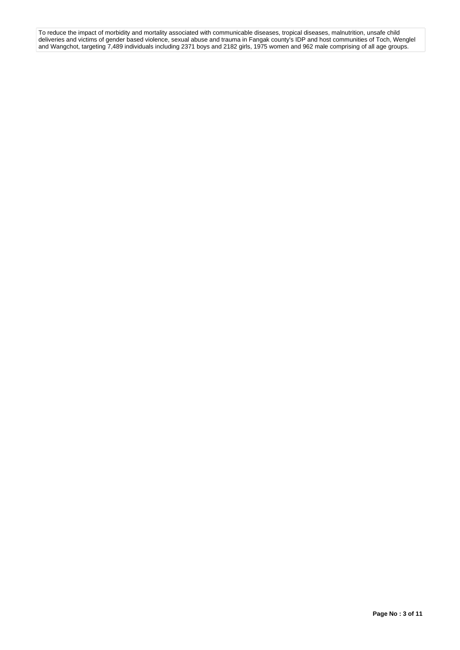To reduce the impact of morbidity and mortality associated with communicable diseases, tropical diseases, malnutrition, unsafe child deliveries and victims of gender based violence, sexual abuse and trauma in Fangak county's IDP and host communities of Toch, Wenglel and Wangchot, targeting 7,489 individuals including 2371 boys and 2182 girls, 1975 women and 962 male comprising of all age groups.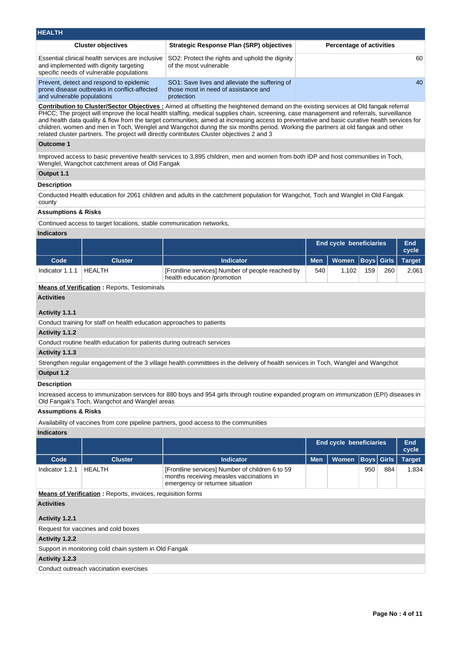| <b>HEALTH</b>                                                                                                                          |                                                                                                      |                                 |  |  |  |  |  |  |  |  |
|----------------------------------------------------------------------------------------------------------------------------------------|------------------------------------------------------------------------------------------------------|---------------------------------|--|--|--|--|--|--|--|--|
| <b>Cluster objectives</b>                                                                                                              | <b>Strategic Response Plan (SRP) objectives</b>                                                      | <b>Percentage of activities</b> |  |  |  |  |  |  |  |  |
| Essential clinical health services are inclusive<br>and implemented with dignity targeting<br>specific needs of vulnerable populations | SO2: Protect the rights and uphold the dignity<br>of the most vulnerable                             | 60                              |  |  |  |  |  |  |  |  |
| Prevent, detect and respond to epidemic<br>prone disease outbreaks in conflict-affected<br>and vulnerable populations                  | SO1: Save lives and alleviate the suffering of<br>those most in need of assistance and<br>protection | 40                              |  |  |  |  |  |  |  |  |
|                                                                                                                                        |                                                                                                      |                                 |  |  |  |  |  |  |  |  |

**Contribution to Cluster/Sector Objectives :** Aimed at offsetting the heightened demand on the existing services at Old fangak referral PHCC; The project will improve the local health staffing, medical supplies chain, screening, case management and referrals, surveillance and health data quality & flow from the target communities; aimed at increasing access to preventative and basic curative health services for children, women and men in Toch, Wenglel and Wangchot during the six months period. Working the partners at old fangak and other related cluster partners. The project will directly contributes Cluster objectives 2 and 3

#### **Outcome 1**

Improved access to basic preventive health services to 3,895 children, men and women from both IDP and host communities in Toch, Wenglel, Wangchot catchment areas of Old Fangak

## **Output 1.1**

## **Description**

Conducted Health education for 2061 children and adults in the catchment population for Wangchot, Toch and Wanglel in Old Fangak county

#### **Assumptions & Risks**

Continued access to target locations, stable communication networks,

## **Indicators**

|                                              |                |                                                                                 |     | <b>End cycle beneficiaries</b>      |     |     | End<br>cycle |
|----------------------------------------------|----------------|---------------------------------------------------------------------------------|-----|-------------------------------------|-----|-----|--------------|
| Code                                         | <b>Cluster</b> | <b>Indicator</b>                                                                |     | Men   Women   Boys   Girls   Target |     |     |              |
| Indicator 1.1.1                              | <b>HEALTH</b>  | [Frontline services] Number of people reached by<br>health education /promotion | 540 | 1.102                               | 159 | 260 | 2,061        |
| Moans of Vorification - Penerts, Testeminals |                |                                                                                 |     |                                     |     |     |              |

#### **Means of Verification :** Reports, Testominals

**Activities**

### **Activity 1.1.1**

Conduct training for staff on health education approaches to patients

## **Activity 1.1.2**

Conduct routine health education for patients during outreach services

#### **Activity 1.1.3**

Strengthen regular engagement of the 3 village health committees in the delivery of health services in Toch, Wanglel and Wangchot

## **Output 1.2**

#### **Description**

Increased access to immunization services for 880 boys and 954 girls through routine expanded program on immunization (EPI) diseases in Old Fangak's Toch, Wangchot and Wanglel areas

### **Assumptions & Risks**

Availability of vaccines from core pipeline partners, good access to the communities

#### **Indicators**

|                                                                    |                |                                                                                                                                |            | End cycle beneficiaries       |     |     | <b>End</b><br>cycle |
|--------------------------------------------------------------------|----------------|--------------------------------------------------------------------------------------------------------------------------------|------------|-------------------------------|-----|-----|---------------------|
| Code                                                               | <b>Cluster</b> | <b>Indicator</b>                                                                                                               | <b>Men</b> | Women   Boys   Girls   Target |     |     |                     |
| Indicator 1.2.1                                                    | HEALTH         | [Frontline services] Number of children 6 to 59<br>months receiving measles vaccinations in<br>emergency or returnee situation |            |                               | 950 | 884 | 1.834               |
| <b>Means of Verification:</b> Reports, invoices, requisition forms |                |                                                                                                                                |            |                               |     |     |                     |

# **Activities**

**Activity 1.2.1** 

| Request for vaccines and cold boxes                   |
|-------------------------------------------------------|
| Activity 1.2.2                                        |
| Support in monitoring cold chain system in Old Fangak |
| Activity 1.2.3                                        |
| Conduct outreach vaccination exercises                |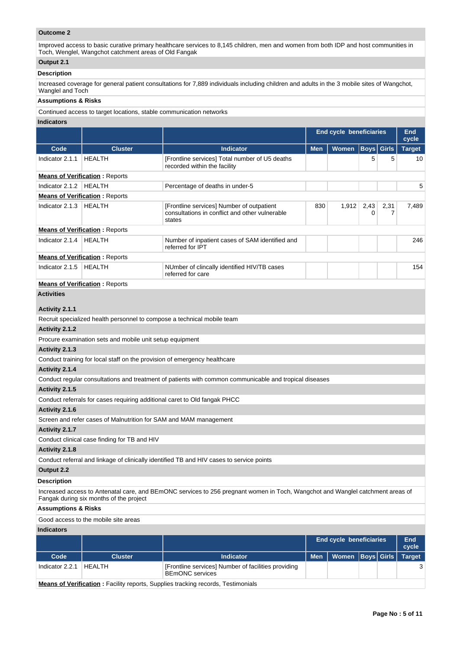## **Outcome 2**

Improved access to basic curative primary healthcare services to 8,145 children, men and women from both IDP and host communities in Toch, Wenglel, Wangchot catchment areas of Old Fangak

## **Output 2.1**

## **Description**

Increased coverage for general patient consultations for 7,889 individuals including children and adults in the 3 mobile sites of Wangchot, Wanglel and Toch

#### **Assumptions & Risks**

Continued access to target locations, stable communication networks

#### **Indicators**

|                 |                                       |                                                                                                       | <b>End cycle beneficiaries</b> |              |                   |           | End<br>cycle  |
|-----------------|---------------------------------------|-------------------------------------------------------------------------------------------------------|--------------------------------|--------------|-------------------|-----------|---------------|
| Code            | <b>Cluster</b>                        | <b>Indicator</b>                                                                                      | <b>Men</b>                     | <b>Women</b> | <b>Boys</b> Girls |           | <b>Target</b> |
| Indicator 2.1.1 | <b>HEALTH</b>                         | [Frontline services] Total number of U5 deaths<br>recorded within the facility                        |                                |              | 5                 | 5         | 10            |
|                 | <b>Means of Verification: Reports</b> |                                                                                                       |                                |              |                   |           |               |
| Indicator 2.1.2 | <b>HEALTH</b>                         | Percentage of deaths in under-5                                                                       |                                |              |                   |           | 5             |
|                 | <b>Means of Verification: Reports</b> |                                                                                                       |                                |              |                   |           |               |
| Indicator 2.1.3 | <b>HEALTH</b>                         | [Frontline services] Number of outpatient<br>consultations in conflict and other vulnerable<br>states | 830                            | 1,912        | 2,43<br>0         | 2,31<br>7 | 7,489         |
|                 | <b>Means of Verification: Reports</b> |                                                                                                       |                                |              |                   |           |               |
| Indicator 2.1.4 | <b>HEALTH</b>                         | Number of inpatient cases of SAM identified and<br>referred for IPT                                   |                                |              |                   |           | 246           |
|                 | <b>Means of Verification: Reports</b> |                                                                                                       |                                |              |                   |           |               |
| Indicator 2.1.5 | HEALTH                                | NUmber of clincally identified HIV/TB cases<br>referred for care                                      |                                |              |                   |           | 154           |
|                 | <b>Means of Verification: Reports</b> |                                                                                                       |                                |              |                   |           |               |
| Activities      |                                       |                                                                                                       |                                |              |                   |           |               |

# **Activity 2.1.1**

Recruit specialized health personnel to compose a technical mobile team

### **Activity 2.1.2**

Procure examination sets and mobile unit setup equipment

## **Activity 2.1.3**

Conduct training for local staff on the provision of emergency healthcare

## **Activity 2.1.4**

Conduct regular consultations and treatment of patients with common communicable and tropical diseases

#### **Activity 2.1.5**

Conduct referrals for cases requiring additional caret to Old fangak PHCC

### **Activity 2.1.6**

Screen and refer cases of Malnutrition for SAM and MAM management

## **Activity 2.1.7**

Conduct clinical case finding for TB and HIV

#### **Activity 2.1.8**

Conduct referral and linkage of clinically identified TB and HIV cases to service points

# **Output 2.2**

# **Description**

Increased access to Antenatal care, and BEmONC services to 256 pregnant women in Toch, Wangchot and Wanglel catchment areas of Fangak during six months of the project

## **Assumptions & Risks**

Good access to the mobile site areas

## **Indicators**

|                 |                |                                                                               |            | End cycle beneficiaries       |  | End<br>cycle |
|-----------------|----------------|-------------------------------------------------------------------------------|------------|-------------------------------|--|--------------|
| Code            | <b>Cluster</b> | <b>Indicator</b>                                                              | <b>Men</b> | Women   Boys   Girls   Target |  |              |
| Indicator 2.2.1 | HFAI TH        | [Frontline services] Number of facilities providing<br><b>BEMONC</b> services |            |                               |  |              |

**Means of Verification :** Facility reports, Supplies tracking records, Testimonials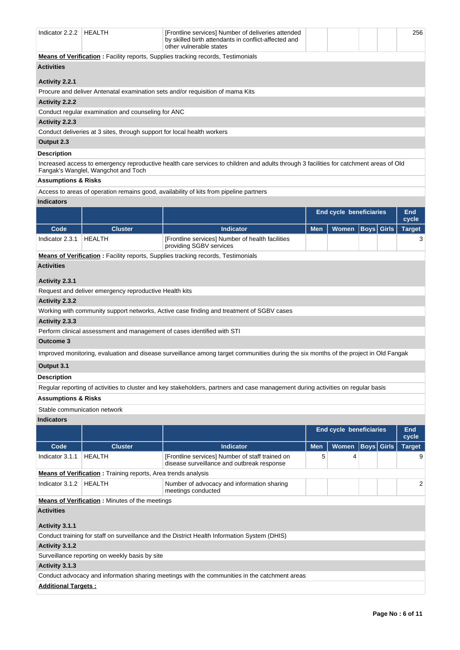| Indicator 2.2.2   HEALTH                                                       |                                                                                         | [Frontline services] Number of deliveries attended<br>by skilled birth attendants in conflict-affected and<br>other vulnerable states  |            |                                |                   |  |                     |  |  |  |  |
|--------------------------------------------------------------------------------|-----------------------------------------------------------------------------------------|----------------------------------------------------------------------------------------------------------------------------------------|------------|--------------------------------|-------------------|--|---------------------|--|--|--|--|
|                                                                                | <b>Means of Verification:</b> Facility reports, Supplies tracking records, Testimonials |                                                                                                                                        |            |                                |                   |  |                     |  |  |  |  |
| <b>Activities</b>                                                              |                                                                                         |                                                                                                                                        |            |                                |                   |  |                     |  |  |  |  |
| <b>Activity 2.2.1</b>                                                          |                                                                                         |                                                                                                                                        |            |                                |                   |  |                     |  |  |  |  |
| Procure and deliver Antenatal examination sets and/or requisition of mama Kits |                                                                                         |                                                                                                                                        |            |                                |                   |  |                     |  |  |  |  |
| Activity 2.2.2                                                                 |                                                                                         |                                                                                                                                        |            |                                |                   |  |                     |  |  |  |  |
|                                                                                | Conduct regular examination and counseling for ANC                                      |                                                                                                                                        |            |                                |                   |  |                     |  |  |  |  |
| Activity 2.2.3                                                                 |                                                                                         |                                                                                                                                        |            |                                |                   |  |                     |  |  |  |  |
|                                                                                | Conduct deliveries at 3 sites, through support for local health workers                 |                                                                                                                                        |            |                                |                   |  |                     |  |  |  |  |
| Output 2.3                                                                     |                                                                                         |                                                                                                                                        |            |                                |                   |  |                     |  |  |  |  |
| <b>Description</b>                                                             |                                                                                         |                                                                                                                                        |            |                                |                   |  |                     |  |  |  |  |
|                                                                                | Fangak's Wanglel, Wangchot and Toch                                                     | Increased access to emergency reproductive health care services to children and adults through 3 facilities for catchment areas of Old |            |                                |                   |  |                     |  |  |  |  |
| <b>Assumptions &amp; Risks</b>                                                 |                                                                                         |                                                                                                                                        |            |                                |                   |  |                     |  |  |  |  |
|                                                                                |                                                                                         | Access to areas of operation remains good, availability of kits from pipeline partners                                                 |            |                                |                   |  |                     |  |  |  |  |
| <b>Indicators</b>                                                              |                                                                                         |                                                                                                                                        |            |                                |                   |  |                     |  |  |  |  |
|                                                                                |                                                                                         |                                                                                                                                        |            | <b>End cycle beneficiaries</b> |                   |  | <b>End</b><br>cycle |  |  |  |  |
| Code                                                                           | <b>Cluster</b>                                                                          | <b>Indicator</b>                                                                                                                       | <b>Men</b> | Women                          | <b>Boys</b> Girls |  | <b>Target</b>       |  |  |  |  |
| Indicator 2.3.1                                                                | HEALTH                                                                                  | [Frontline services] Number of health facilities<br>providing SGBV services                                                            |            |                                |                   |  | 3                   |  |  |  |  |
|                                                                                |                                                                                         | Means of Verification: Facility reports, Supplies tracking records, Testimonials                                                       |            |                                |                   |  |                     |  |  |  |  |
| <b>Activities</b>                                                              |                                                                                         |                                                                                                                                        |            |                                |                   |  |                     |  |  |  |  |
| Activity 2.3.1                                                                 |                                                                                         |                                                                                                                                        |            |                                |                   |  |                     |  |  |  |  |
|                                                                                | Request and deliver emergency reproductive Health kits                                  |                                                                                                                                        |            |                                |                   |  |                     |  |  |  |  |
| <b>Activity 2.3.2</b>                                                          |                                                                                         |                                                                                                                                        |            |                                |                   |  |                     |  |  |  |  |
|                                                                                |                                                                                         | Working with community support networks, Active case finding and treatment of SGBV cases                                               |            |                                |                   |  |                     |  |  |  |  |
| Activity 2.3.3                                                                 |                                                                                         |                                                                                                                                        |            |                                |                   |  |                     |  |  |  |  |
|                                                                                | Perform clinical assessment and management of cases identified with STI                 |                                                                                                                                        |            |                                |                   |  |                     |  |  |  |  |
| Outcome 3                                                                      |                                                                                         |                                                                                                                                        |            |                                |                   |  |                     |  |  |  |  |
|                                                                                |                                                                                         | Improved monitoring, evaluation and disease surveillance among target communities during the six months of the project in Old Fangak   |            |                                |                   |  |                     |  |  |  |  |
| Output 3.1                                                                     |                                                                                         |                                                                                                                                        |            |                                |                   |  |                     |  |  |  |  |
| <b>Description</b>                                                             |                                                                                         |                                                                                                                                        |            |                                |                   |  |                     |  |  |  |  |
|                                                                                |                                                                                         | Regular reporting of activities to cluster and key stakeholders, partners and case management during activities on regular basis       |            |                                |                   |  |                     |  |  |  |  |
| <b>Assumptions &amp; Risks</b>                                                 |                                                                                         |                                                                                                                                        |            |                                |                   |  |                     |  |  |  |  |
| Stable communication network                                                   |                                                                                         |                                                                                                                                        |            |                                |                   |  |                     |  |  |  |  |
| <b>Indicators</b>                                                              |                                                                                         |                                                                                                                                        |            |                                |                   |  |                     |  |  |  |  |
|                                                                                |                                                                                         |                                                                                                                                        |            | <b>End cycle beneficiaries</b> |                   |  | <b>End</b>          |  |  |  |  |
|                                                                                |                                                                                         |                                                                                                                                        |            |                                |                   |  | cycle               |  |  |  |  |
| Code                                                                           | <b>Cluster</b>                                                                          | <b>Indicator</b>                                                                                                                       | <b>Men</b> | <b>Women</b>                   | <b>Boys</b> Girls |  | <b>Target</b>       |  |  |  |  |
| Indicator 3.1.1                                                                | <b>HEALTH</b>                                                                           | [Frontline services] Number of staff trained on<br>disease surveillance and outbreak response                                          | 5          | 4                              |                   |  | 9                   |  |  |  |  |
|                                                                                | <b>Means of Verification:</b> Training reports, Area trends analysis                    |                                                                                                                                        |            |                                |                   |  |                     |  |  |  |  |
| Indicator 3.1.2                                                                | <b>HEALTH</b>                                                                           | Number of advocacy and information sharing<br>meetings conducted                                                                       |            |                                |                   |  | 2                   |  |  |  |  |
|                                                                                | <b>Means of Verification:</b> Minutes of the meetings                                   |                                                                                                                                        |            |                                |                   |  |                     |  |  |  |  |
| <b>Activities</b>                                                              |                                                                                         |                                                                                                                                        |            |                                |                   |  |                     |  |  |  |  |
| Activity 3.1.1                                                                 |                                                                                         |                                                                                                                                        |            |                                |                   |  |                     |  |  |  |  |
|                                                                                |                                                                                         | Conduct training for staff on surveillance and the District Health Information System (DHIS)                                           |            |                                |                   |  |                     |  |  |  |  |
| Activity 3.1.2                                                                 |                                                                                         |                                                                                                                                        |            |                                |                   |  |                     |  |  |  |  |
|                                                                                | Surveillance reporting on weekly basis by site                                          |                                                                                                                                        |            |                                |                   |  |                     |  |  |  |  |
| Activity 3.1.3                                                                 |                                                                                         |                                                                                                                                        |            |                                |                   |  |                     |  |  |  |  |
|                                                                                |                                                                                         | Conduct advocacy and information sharing meetings with the communities in the catchment areas                                          |            |                                |                   |  |                     |  |  |  |  |
| <b>Additional Targets:</b>                                                     |                                                                                         |                                                                                                                                        |            |                                |                   |  |                     |  |  |  |  |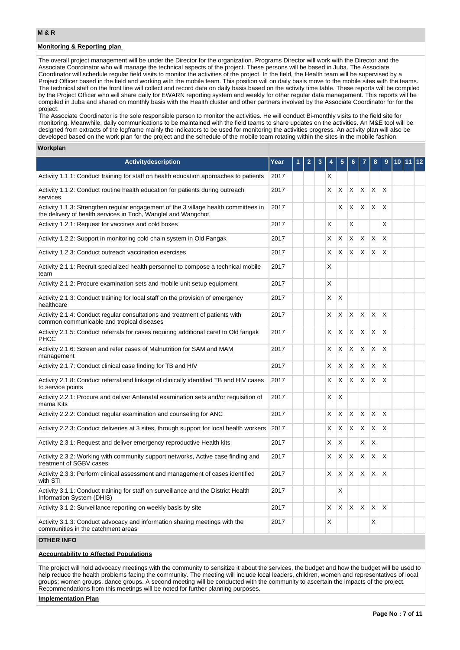## **Monitoring & Reporting plan**

The overall project management will be under the Director for the organization. Programs Director will work with the Director and the Associate Coordinator who will manage the technical aspects of the project. These persons will be based in Juba. The Associate Coordinator will schedule regular field visits to monitor the activities of the project. In the field, the Health team will be supervised by a Project Officer based in the field and working with the mobile team. This position will on daily basis move to the mobile sites with the teams. The technical staff on the front line will collect and record data on daily basis based on the activity time table. These reports will be compiled by the Project Officer who will share daily for EWARN reporting system and weekly for other regular data management. This reports will be compiled in Juba and shared on monthly basis with the Health cluster and other partners involved by the Associate Coordinator for for the project.

The Associate Coordinator is the sole responsible person to monitor the activities. He will conduct Bi-monthly visits to the field site for monitoring. Meanwhile, daily communications to be maintained with the field teams to share updates on the activities. An M&E tool will be designed from extracts of the logframe mainly the indicators to be used for monitoring the activities progress. An activity plan will also be developed based on the work plan for the project and the schedule of the mobile team rotating within the sites in the mobile fashion.

## **Workplan**

| <b>Activitydescription</b>                                                                                                                           | Year |  |  |  |   |                         |              |    |                         |                         |  | 12 |
|------------------------------------------------------------------------------------------------------------------------------------------------------|------|--|--|--|---|-------------------------|--------------|----|-------------------------|-------------------------|--|----|
| Activity 1.1.1: Conduct training for staff on health education approaches to patients                                                                | 2017 |  |  |  | X |                         |              |    |                         |                         |  |    |
| Activity 1.1.2: Conduct routine health education for patients during outreach<br>services                                                            | 2017 |  |  |  | X | X                       | X            | X  | X                       | $\times$                |  |    |
| Activity 1.1.3: Strengthen regular engagement of the 3 village health committees in<br>the delivery of health services in Toch, Wanglel and Wangchot | 2017 |  |  |  |   | X                       | X            | X. | X.                      | X                       |  |    |
| Activity 1.2.1: Request for vaccines and cold boxes                                                                                                  | 2017 |  |  |  | X |                         | X            |    |                         | X                       |  |    |
| Activity 1.2.2: Support in monitoring cold chain system in Old Fangak                                                                                | 2017 |  |  |  | X | X                       | X            | X  | X                       | X                       |  |    |
| Activity 1.2.3: Conduct outreach vaccination exercises                                                                                               | 2017 |  |  |  | X | $\overline{\mathsf{x}}$ | $\mathsf{X}$ | X. | X.                      | $\overline{\mathsf{x}}$ |  |    |
| Activity 2.1.1: Recruit specialized health personnel to compose a technical mobile<br>team                                                           | 2017 |  |  |  |   |                         |              |    |                         |                         |  |    |
| Activity 2.1.2: Procure examination sets and mobile unit setup equipment                                                                             | 2017 |  |  |  | X |                         |              |    |                         |                         |  |    |
| Activity 2.1.3: Conduct training for local staff on the provision of emergency<br>healthcare                                                         | 2017 |  |  |  |   | X                       |              |    |                         |                         |  |    |
| Activity 2.1.4: Conduct regular consultations and treatment of patients with<br>common communicable and tropical diseases                            | 2017 |  |  |  | X | X                       | X            | X  | ΙX.                     | X                       |  |    |
| Activity 2.1.5: Conduct referrals for cases requiring additional caret to Old fangak<br>PHCC                                                         | 2017 |  |  |  | X | X                       | X            | X  | X                       | X                       |  |    |
| Activity 2.1.6: Screen and refer cases of Malnutrition for SAM and MAM<br>management                                                                 | 2017 |  |  |  | X | $\times$                | $\times$     | X  | X.                      | X                       |  |    |
| Activity 2.1.7: Conduct clinical case finding for TB and HIV                                                                                         | 2017 |  |  |  | X | X                       | X            | X  | $\mathsf{\overline{X}}$ | X                       |  |    |
| Activity 2.1.8: Conduct referral and linkage of clinically identified TB and HIV cases<br>to service points                                          | 2017 |  |  |  | X | $\overline{\mathsf{x}}$ | X            | X. | X.                      | ΙX.                     |  |    |
| Activity 2.2.1: Procure and deliver Antenatal examination sets and/or requisition of<br>mama Kits                                                    | 2017 |  |  |  | X | X                       |              |    |                         |                         |  |    |
| Activity 2.2.2: Conduct regular examination and counseling for ANC                                                                                   | 2017 |  |  |  | X | X                       | X            | X. | X                       | X                       |  |    |
| Activity 2.2.3: Conduct deliveries at 3 sites, through support for local health workers                                                              | 2017 |  |  |  | X | X                       | $\times$     | X  | X                       | X                       |  |    |
| Activity 2.3.1: Request and deliver emergency reproductive Health kits                                                                               | 2017 |  |  |  | X | X                       |              | X  | X                       |                         |  |    |
| Activity 2.3.2: Working with community support networks, Active case finding and<br>treatment of SGBV cases                                          | 2017 |  |  |  | X | X                       | X            | X  | X                       | X                       |  |    |
| Activity 2.3.3: Perform clinical assessment and management of cases identified<br>with STI                                                           | 2017 |  |  |  | X | X                       | X            | X. | $\mathsf{X}$            | X                       |  |    |
| Activity 3.1.1: Conduct training for staff on surveillance and the District Health<br>Information System (DHIS)                                      | 2017 |  |  |  |   | х                       |              |    |                         |                         |  |    |
| Activity 3.1.2: Surveillance reporting on weekly basis by site                                                                                       | 2017 |  |  |  | X | X                       | X            | X  | ΙX.                     | X                       |  |    |
| Activity 3.1.3: Conduct advocacy and information sharing meetings with the<br>communities in the catchment areas                                     | 2017 |  |  |  | X |                         |              |    | X                       |                         |  |    |

## **OTHER INFO**

## **Accountability to Affected Populations**

The project will hold advocacy meetings with the community to sensitize it about the services, the budget and how the budget will be used to help reduce the health problems facing the community. The meeting will include local leaders, children, women and representatives of local groups; women groups, dance groups. A second meeting will be conducted with the community to ascertain the impacts of the project. Recommendations from this meetings will be noted for further planning purposes.

**Implementation Plan**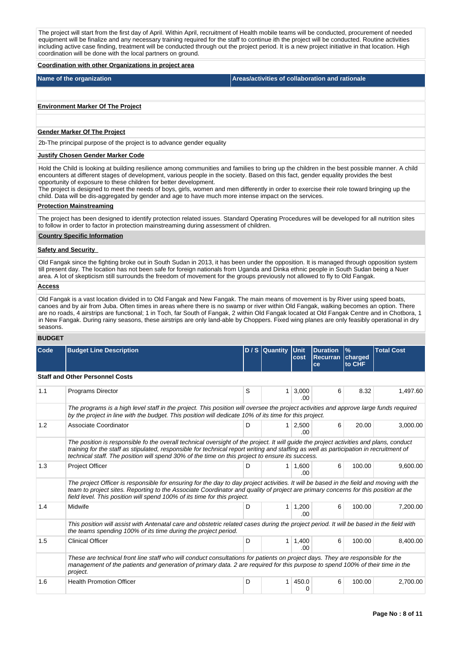The project will start from the first day of April. Within April, recruitment of Health mobile teams will be conducted, procurement of needed equipment will be finalize and any necessary training required for the staff to continue ith the project will be conducted. Routine activities including active case finding, treatment will be conducted through out the project period. It is a new project initiative in that location. High coordination will be done with the local partners on ground.

#### **Coordination with other Organizations in project area**

**Name of the organization Areas/activities of collaboration and rationale** 

#### **Environment Marker Of The Project**

#### **Gender Marker Of The Project**

2b-The principal purpose of the project is to advance gender equality

#### **Justify Chosen Gender Marker Code**

Hold the Child is looking at building resilience among communities and families to bring up the children in the best possible manner. A child encounters at different stages of development, various people in the society. Based on this fact, gender equality provides the best opportunity of exposure to these children for better development.

The project is designed to meet the needs of boys, girls, women and men differently in order to exercise their role toward bringing up the child. Data will be dis-aggregated by gender and age to have much more intense impact on the services.

## **Protection Mainstreaming**

The project has been designed to identify protection related issues. Standard Operating Procedures will be developed for all nutrition sites to follow in order to factor in protection mainstreaming during assessment of children.

#### **Country Specific Information**

## **Safety and Security**

Old Fangak since the fighting broke out in South Sudan in 2013, it has been under the opposition. It is managed through opposition system till present day. The location has not been safe for foreign nationals from Uganda and Dinka ethnic people in South Sudan being a Nuer area. A lot of skepticism still surrounds the freedom of movement for the groups previously not allowed to fly to Old Fangak.

## **Access**

Old Fangak is a vast location divided in to Old Fangak and New Fangak. The main means of movement is by River using speed boats, canoes and by air from Juba. Often times in areas where there is no swamp or river within Old Fangak, walking becomes an option. There are no roads, 4 airstrips are functional; 1 in Toch, far South of Fangak, 2 within Old Fangak located at Old Fangak Centre and in Chotbora, 1 in New Fangak. During rainy seasons, these airstrips are only land-able by Choppers. Fixed wing planes are only feasibly operational in dry seasons.

#### **BUDGET**

| Code | <b>Budget Line Description</b>                                                                                                                                                                                                                                                                                                                                                      |   | D / S Quantity Unit | cost          | <b>Duration</b><br>Recurran<br>ce | $\frac{9}{6}$<br>charged<br>to CHF | <b>Total Cost</b> |
|------|-------------------------------------------------------------------------------------------------------------------------------------------------------------------------------------------------------------------------------------------------------------------------------------------------------------------------------------------------------------------------------------|---|---------------------|---------------|-----------------------------------|------------------------------------|-------------------|
|      | <b>Staff and Other Personnel Costs</b>                                                                                                                                                                                                                                                                                                                                              |   |                     |               |                                   |                                    |                   |
| 1.1  | <b>Programs Director</b>                                                                                                                                                                                                                                                                                                                                                            | S | 1                   | 3,000<br>.00  | 6                                 | 8.32                               | 1,497.60          |
|      | The programs is a high level staff in the project. This position will oversee the project activities and approve large funds required<br>by the project in line with the budget. This position will dedicate 10% of its time for this project.                                                                                                                                      |   |                     |               |                                   |                                    |                   |
| 1.2  | Associate Coordinator                                                                                                                                                                                                                                                                                                                                                               | D | $\mathbf{1}$        | 2,500<br>.00. | 6                                 | 20.00                              | 3,000.00          |
|      | The position is responsible fo the overall technical oversight of the project. It will guide the project activities and plans, conduct<br>training for the staff as stipulated, responsible for technical report writing and staffing as well as participation in recruitment of<br>technical staff. The position will spend 30% of the time on this project to ensure its success. |   |                     |               |                                   |                                    |                   |
| 1.3  | Project Officer                                                                                                                                                                                                                                                                                                                                                                     | D | 1                   | 1.600<br>.00  | 6                                 | 100.00                             | 9,600.00          |
|      | The project Officer is responsible for ensuring for the day to day project activities. It will be based in the field and moving with the<br>team to project sites. Reporting to the Associate Coordinator and quality of project are primary concerns for this position at the<br>field level. This position will spend 100% of its time for this project.                          |   |                     |               |                                   |                                    |                   |
| 1.4  | Midwife                                                                                                                                                                                                                                                                                                                                                                             | D | 1                   | 1,200<br>.00  | 6                                 | 100.00                             | 7,200.00          |
|      | This position will assist with Antenatal care and obstetric related cases during the project period. It will be based in the field with<br>the teams spending 100% of its time during the project period.                                                                                                                                                                           |   |                     |               |                                   |                                    |                   |
| 1.5  | <b>Clinical Officer</b>                                                                                                                                                                                                                                                                                                                                                             | D | 1                   | 1,400<br>.00  | 6                                 | 100.00                             | 8,400.00          |
|      | These are technical front line staff who will conduct consultations for patients on project days. They are responsible for the<br>management of the patients and generation of primary data. 2 are required for this purpose to spend 100% of their time in the<br>project.                                                                                                         |   |                     |               |                                   |                                    |                   |
| 1.6  | <b>Health Promotion Officer</b>                                                                                                                                                                                                                                                                                                                                                     | D |                     | 450.0<br>Ω    | 6                                 | 100.00                             | 2,700.00          |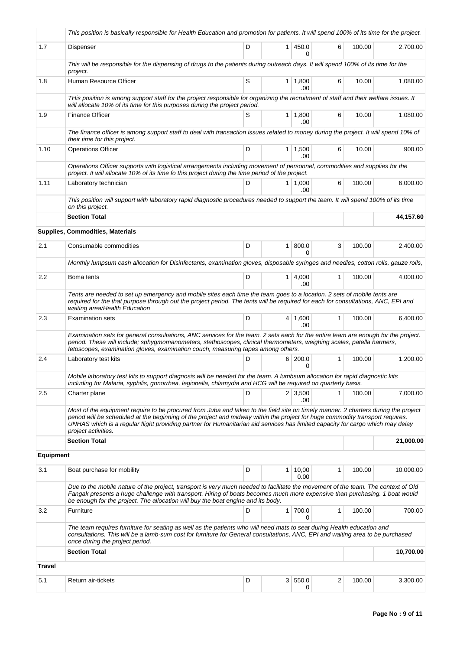|                  | This position is basically responsible for Health Education and promotion for patients. It will spend 100% of its time for the project.                                                                                                                                                                                                                                                                                      |   |                |                       |              |        |           |  |  |  |
|------------------|------------------------------------------------------------------------------------------------------------------------------------------------------------------------------------------------------------------------------------------------------------------------------------------------------------------------------------------------------------------------------------------------------------------------------|---|----------------|-----------------------|--------------|--------|-----------|--|--|--|
| 1.7              | Dispenser                                                                                                                                                                                                                                                                                                                                                                                                                    | D | $\mathbf{1}$   | 450.0<br>0            | 6            | 100.00 | 2,700.00  |  |  |  |
|                  | This will be responsible for the dispensing of drugs to the patients during outreach days. It will spend 100% of its time for the<br>project.                                                                                                                                                                                                                                                                                |   |                |                       |              |        |           |  |  |  |
| 1.8              | Human Resource Officer                                                                                                                                                                                                                                                                                                                                                                                                       | S | 1 <sup>1</sup> | 1,800<br>.00          | 6            | 10.00  | 1.080.00  |  |  |  |
|                  | THis position is among support staff for the project responsible for organizing the recruitment of staff and their welfare issues. It<br>will allocate 10% of its time for this purposes during the project period.                                                                                                                                                                                                          |   |                |                       |              |        |           |  |  |  |
| 1.9              | <b>Finance Officer</b>                                                                                                                                                                                                                                                                                                                                                                                                       | S | 1 <sup>1</sup> | 1,800<br>.00          | 6            | 10.00  | 1,080.00  |  |  |  |
|                  | The finance officer is among support staff to deal with transaction issues related to money during the project. It will spend 10% of<br>their time for this project.                                                                                                                                                                                                                                                         |   |                |                       |              |        |           |  |  |  |
| 1.10             | <b>Operations Officer</b>                                                                                                                                                                                                                                                                                                                                                                                                    | D | 1 <sup>1</sup> | 1,500<br>.00          | 6            | 10.00  | 900.00    |  |  |  |
|                  | Operations Officer supports with logistical arrangements including movement of personnel, commodities and supplies for the<br>project. It will allocate 10% of its time fo this project during the time period of the project.                                                                                                                                                                                               |   |                |                       |              |        |           |  |  |  |
| 1.11             | Laboratory technician                                                                                                                                                                                                                                                                                                                                                                                                        | D |                | $1 \mid 1,000$<br>.00 | 6            | 100.00 | 6,000.00  |  |  |  |
|                  | This position will support with laboratory rapid diagnostic procedures needed to support the team. It will spend 100% of its time<br>on this project.                                                                                                                                                                                                                                                                        |   |                |                       |              |        |           |  |  |  |
|                  | <b>Section Total</b>                                                                                                                                                                                                                                                                                                                                                                                                         |   |                |                       |              |        | 44,157.60 |  |  |  |
|                  | <b>Supplies, Commodities, Materials</b>                                                                                                                                                                                                                                                                                                                                                                                      |   |                |                       |              |        |           |  |  |  |
| 2.1              | Consumable commodities                                                                                                                                                                                                                                                                                                                                                                                                       | D | 1 <sup>1</sup> | 800.0<br>0            | 3            | 100.00 | 2,400.00  |  |  |  |
|                  | Monthly lumpsum cash allocation for Disinfectants, examination gloves, disposable syringes and needles, cotton rolls, gauze rolls,                                                                                                                                                                                                                                                                                           |   |                |                       |              |        |           |  |  |  |
| $2.2\,$          | Boma tents                                                                                                                                                                                                                                                                                                                                                                                                                   | D | 1 <sup>1</sup> | 4,000<br>.00          | 1            | 100.00 | 4,000.00  |  |  |  |
|                  | Tents are needed to set up emergency and mobile sites each time the team goes to a location. 2 sets of mobile tents are<br>required for the that purpose through out the project period. The tents will be required for each for consultations, ANC, EPI and<br>waiting area/Health Education                                                                                                                                |   |                |                       |              |        |           |  |  |  |
| 2.3              | <b>Examination sets</b>                                                                                                                                                                                                                                                                                                                                                                                                      | D |                | $4 \mid 1,600$<br>.00 | $\mathbf{1}$ | 100.00 | 6,400.00  |  |  |  |
|                  | Examination sets for general consultations, ANC services for the team. 2 sets each for the entire team are enough for the project.<br>period. These will include: sphygmomanometers, stethoscopes, clinical thermometers, weighing scales, patella harmers,<br>fetoscopes, examination gloves, examination couch, measuring tapes among others.                                                                              |   |                |                       |              |        |           |  |  |  |
| 2.4              | Laboratory test kits                                                                                                                                                                                                                                                                                                                                                                                                         | D | 6              | 200.0<br>0            | $\mathbf{1}$ | 100.00 | 1,200.00  |  |  |  |
|                  | Mobile laboratory test kits to support diagnosis will be needed for the team. A lumbsum allocation for rapid diagnostic kits<br>including for Malaria, syphilis, gonorrhea, legionella, chlamydia and HCG will be required on quarterly basis.                                                                                                                                                                               |   |                |                       |              |        |           |  |  |  |
| 2.5              | Charter plane                                                                                                                                                                                                                                                                                                                                                                                                                | D |                | $2 \mid 3,500$<br>.00 | 1            | 100.00 | 7,000.00  |  |  |  |
|                  | Most of the equipment require to be procured from Juba and taken to the field site on timely manner. 2 charters during the project<br>period will be scheduled at the beginning of the project and midway within the project for huge commodity transport requires.<br>UNHAS which is a regular flight providing partner for Humanitarian aid services has limited capacity for cargo which may delay<br>project activities. |   |                |                       |              |        |           |  |  |  |
|                  | <b>Section Total</b>                                                                                                                                                                                                                                                                                                                                                                                                         |   |                |                       |              |        | 21,000.00 |  |  |  |
| <b>Equipment</b> |                                                                                                                                                                                                                                                                                                                                                                                                                              |   |                |                       |              |        |           |  |  |  |
| 3.1              | Boat purchase for mobility                                                                                                                                                                                                                                                                                                                                                                                                   | D | 1              | 10,00<br>0.00         | 1            | 100.00 | 10,000.00 |  |  |  |
|                  | Due to the mobile nature of the project, transport is very much needed to facilitate the movement of the team. The context of Old<br>Fangak presents a huge challenge with transport. Hiring of boats becomes much more expensive than purchasing. 1 boat would<br>be enough for the project. The allocation will buy the boat engine and its body.                                                                          |   |                |                       |              |        |           |  |  |  |
| 3.2              | Furniture                                                                                                                                                                                                                                                                                                                                                                                                                    | D | $\mathbf{1}$   | 700.0<br>0            | 1            | 100.00 | 700.00    |  |  |  |
|                  | The team requires furniture for seating as well as the patients who will need mats to seat during Health education and<br>consultations. This will be a lamb-sum cost for furniture for General consultations, ANC, EPI and waiting area to be purchased<br>once during the project period.                                                                                                                                  |   |                |                       |              |        |           |  |  |  |
|                  | <b>Section Total</b>                                                                                                                                                                                                                                                                                                                                                                                                         |   |                |                       |              |        | 10,700.00 |  |  |  |
| <b>Travel</b>    |                                                                                                                                                                                                                                                                                                                                                                                                                              |   |                |                       |              |        |           |  |  |  |
| 5.1              | Return air-tickets                                                                                                                                                                                                                                                                                                                                                                                                           | D | 3 <sup>1</sup> | 550.0<br>0            | 2            | 100.00 | 3,300.00  |  |  |  |